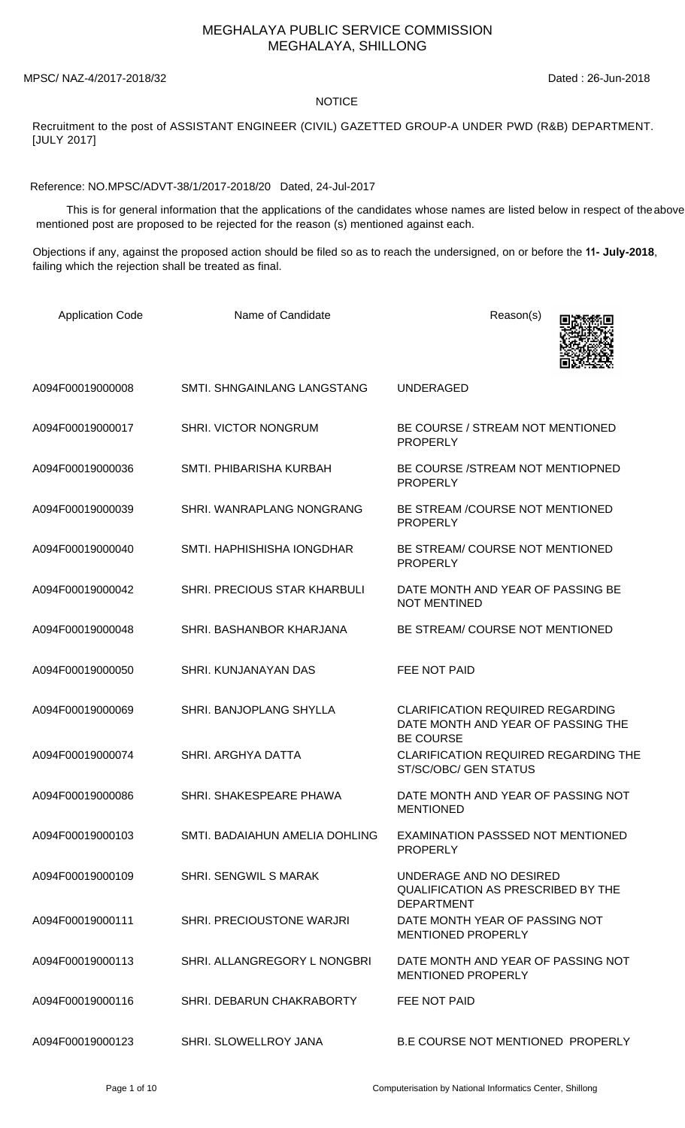## MEGHALAYA PUBLIC SERVICE COMMISSION MEGHALAYA, SHILLONG

MPSC/ NAZ-4/2017-2018/32 Dated : 26-Jun-2018

## NOTICE

Recruitment to the post of ASSISTANT ENGINEER (CIVIL) GAZETTED GROUP-A UNDER PWD (R&B) DEPARTMENT. [JULY 2017]

Reference: NO.MPSC/ADVT-38/1/2017-2018/20 Dated, 24-Jul-2017

 This is for general information that the applications of the candidates whose names are listed below in respect of theabove mentioned post are proposed to be rejected for the reason (s) mentioned against each.

Objections if any, against the proposed action should be filed so as to reach the undersigned, on or before the **11- July-2018**, failing which the rejection shall be treated as final.

| <b>Application Code</b> | Name of Candidate              | Reason(s)                                                                                         |
|-------------------------|--------------------------------|---------------------------------------------------------------------------------------------------|
| A094F00019000008        | SMTI. SHNGAINLANG LANGSTANG    | <b>UNDERAGED</b>                                                                                  |
| A094F00019000017        | <b>SHRI. VICTOR NONGRUM</b>    | BE COURSE / STREAM NOT MENTIONED<br><b>PROPERLY</b>                                               |
| A094F00019000036        | SMTI. PHIBARISHA KURBAH        | BE COURSE /STREAM NOT MENTIOPNED<br><b>PROPERLY</b>                                               |
| A094F00019000039        | SHRI. WANRAPLANG NONGRANG      | BE STREAM /COURSE NOT MENTIONED<br><b>PROPERLY</b>                                                |
| A094F00019000040        | SMTI, HAPHISHISHA IONGDHAR     | BE STREAM/COURSE NOT MENTIONED<br><b>PROPERLY</b>                                                 |
| A094F00019000042        | SHRI. PRECIOUS STAR KHARBULI   | DATE MONTH AND YEAR OF PASSING BE<br><b>NOT MENTINED</b>                                          |
| A094F00019000048        | SHRI. BASHANBOR KHARJANA       | BE STREAM/ COURSE NOT MENTIONED                                                                   |
| A094F00019000050        | <b>SHRI, KUNJANAYAN DAS</b>    | <b>FEE NOT PAID</b>                                                                               |
| A094F00019000069        | SHRI. BANJOPLANG SHYLLA        | <b>CLARIFICATION REQUIRED REGARDING</b><br>DATE MONTH AND YEAR OF PASSING THE<br><b>BE COURSE</b> |
| A094F00019000074        | SHRI. ARGHYA DATTA             | <b>CLARIFICATION REQUIRED REGARDING THE</b><br>ST/SC/OBC/ GEN STATUS                              |
| A094F00019000086        | SHRI. SHAKESPEARE PHAWA        | DATE MONTH AND YEAR OF PASSING NOT<br><b>MENTIONED</b>                                            |
| A094F00019000103        | SMTI. BADAIAHUN AMELIA DOHLING | EXAMINATION PASSSED NOT MENTIONED<br><b>PROPERLY</b>                                              |
| A094F00019000109        | <b>SHRI. SENGWIL S MARAK</b>   | UNDERAGE AND NO DESIRED<br><b>QUALIFICATION AS PRESCRIBED BY THE</b><br><b>DEPARTMENT</b>         |
| A094F00019000111        | SHRI. PRECIOUSTONE WARJRI      | DATE MONTH YEAR OF PASSING NOT<br><b>MENTIONED PROPERLY</b>                                       |
| A094F00019000113        | SHRI. ALLANGREGORY L NONGBRI   | DATE MONTH AND YEAR OF PASSING NOT<br><b>MENTIONED PROPERLY</b>                                   |
| A094F00019000116        | SHRI. DEBARUN CHAKRABORTY      | FEE NOT PAID                                                                                      |
| A094F00019000123        | SHRI. SLOWELLROY JANA          | <b>B.E COURSE NOT MENTIONED PROPERLY</b>                                                          |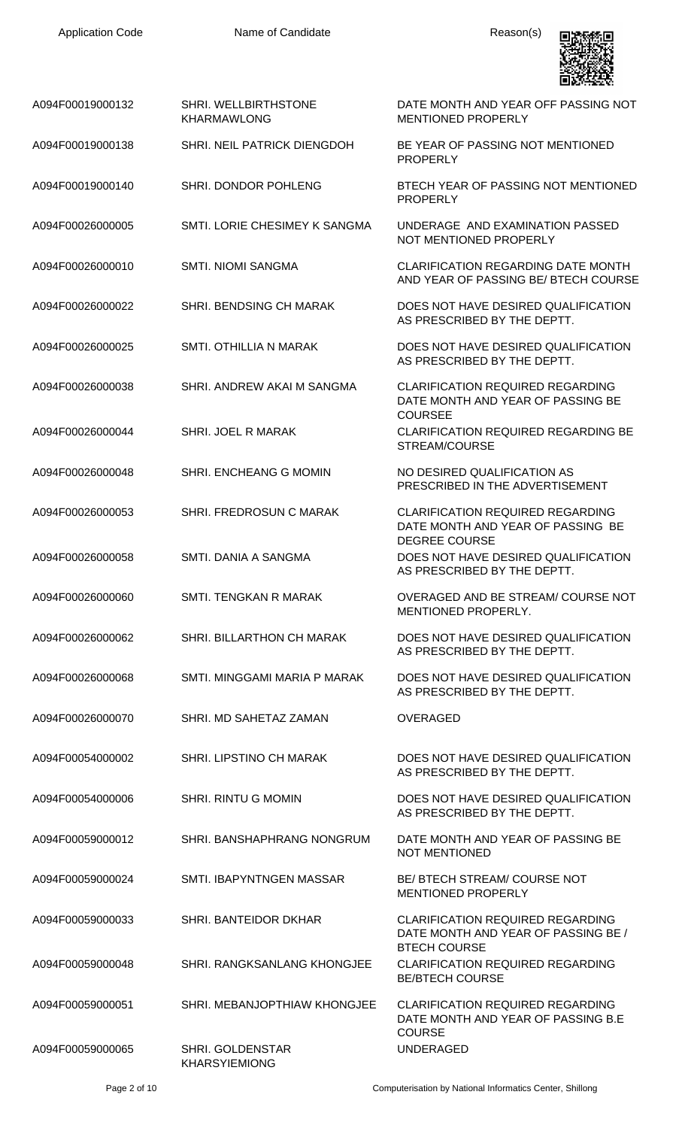

| A094F00019000132 | SHRI. WELLBIRTHSTONE<br><b>KHARMAWLONG</b> | DATE MONTH AND YEAR OFF PASSING NOT<br><b>MENTIONED PROPERLY</b>                                      |
|------------------|--------------------------------------------|-------------------------------------------------------------------------------------------------------|
| A094F00019000138 | SHRI. NEIL PATRICK DIENGDOH                | BE YEAR OF PASSING NOT MENTIONED<br><b>PROPERLY</b>                                                   |
| A094F00019000140 | SHRI. DONDOR POHLENG                       | BTECH YEAR OF PASSING NOT MENTIONED<br><b>PROPERLY</b>                                                |
| A094F00026000005 | SMTI. LORIE CHESIMEY K SANGMA              | UNDERAGE AND EXAMINATION PASSED<br>NOT MENTIONED PROPERLY                                             |
| A094F00026000010 | <b>SMTI. NIOMI SANGMA</b>                  | <b>CLARIFICATION REGARDING DATE MONTH</b><br>AND YEAR OF PASSING BE/ BTECH COURSE                     |
| A094F00026000022 | SHRI. BENDSING CH MARAK                    | DOES NOT HAVE DESIRED QUALIFICATION<br>AS PRESCRIBED BY THE DEPTT.                                    |
| A094F00026000025 | SMTI. OTHILLIA N MARAK                     | DOES NOT HAVE DESIRED QUALIFICATION<br>AS PRESCRIBED BY THE DEPTT.                                    |
| A094F00026000038 | SHRI, ANDREW AKAI M SANGMA                 | <b>CLARIFICATION REQUIRED REGARDING</b><br>DATE MONTH AND YEAR OF PASSING BE<br><b>COURSEE</b>        |
| A094F00026000044 | SHRI. JOEL R MARAK                         | <b>CLARIFICATION REQUIRED REGARDING BE</b><br>STREAM/COURSE                                           |
| A094F00026000048 | SHRI. ENCHEANG G MOMIN                     | NO DESIRED QUALIFICATION AS<br>PRESCRIBED IN THE ADVERTISEMENT                                        |
| A094F00026000053 | SHRI. FREDROSUN C MARAK                    | <b>CLARIFICATION REQUIRED REGARDING</b><br>DATE MONTH AND YEAR OF PASSING BE<br><b>DEGREE COURSE</b>  |
| A094F00026000058 | SMTI. DANIA A SANGMA                       | DOES NOT HAVE DESIRED QUALIFICATION<br>AS PRESCRIBED BY THE DEPTT.                                    |
| A094F00026000060 | SMTI. TENGKAN R MARAK                      | OVERAGED AND BE STREAM/ COURSE NOT<br><b>MENTIONED PROPERLY.</b>                                      |
| A094F00026000062 | SHRI. BILLARTHON CH MARAK                  | DOES NOT HAVE DESIRED QUALIFICATION<br>AS PRESCRIBED BY THE DEPTT.                                    |
| A094F00026000068 | SMTI, MINGGAMI MARIA P MARAK               | DOES NOT HAVE DESIRED QUALIFICATION<br>AS PRESCRIBED BY THE DEPTT.                                    |
| A094F00026000070 | SHRI. MD SAHETAZ ZAMAN                     | <b>OVERAGED</b>                                                                                       |
| A094F00054000002 | SHRI. LIPSTINO CH MARAK                    | DOES NOT HAVE DESIRED QUALIFICATION<br>AS PRESCRIBED BY THE DEPTT.                                    |
| A094F00054000006 | <b>SHRI. RINTU G MOMIN</b>                 | DOES NOT HAVE DESIRED QUALIFICATION<br>AS PRESCRIBED BY THE DEPTT.                                    |
| A094F00059000012 | SHRI. BANSHAPHRANG NONGRUM                 | DATE MONTH AND YEAR OF PASSING BE<br><b>NOT MENTIONED</b>                                             |
| A094F00059000024 | SMTI. IBAPYNTNGEN MASSAR                   | BE/ BTECH STREAM/ COURSE NOT<br><b>MENTIONED PROPERLY</b>                                             |
| A094F00059000033 | SHRI. BANTEIDOR DKHAR                      | <b>CLARIFICATION REQUIRED REGARDING</b><br>DATE MONTH AND YEAR OF PASSING BE /<br><b>BTECH COURSE</b> |
| A094F00059000048 | SHRI. RANGKSANLANG KHONGJEE                | <b>CLARIFICATION REQUIRED REGARDING</b><br><b>BE/BTECH COURSE</b>                                     |
| A094F00059000051 | SHRI, MEBANJOPTHIAW KHONGJEE               | <b>CLARIFICATION REQUIRED REGARDING</b><br>DATE MONTH AND YEAR OF PASSING B.E.<br><b>COURSE</b>       |
| A094F00059000065 | SHRI. GOLDENSTAR<br><b>KHARSYIEMIONG</b>   | <b>UNDERAGED</b>                                                                                      |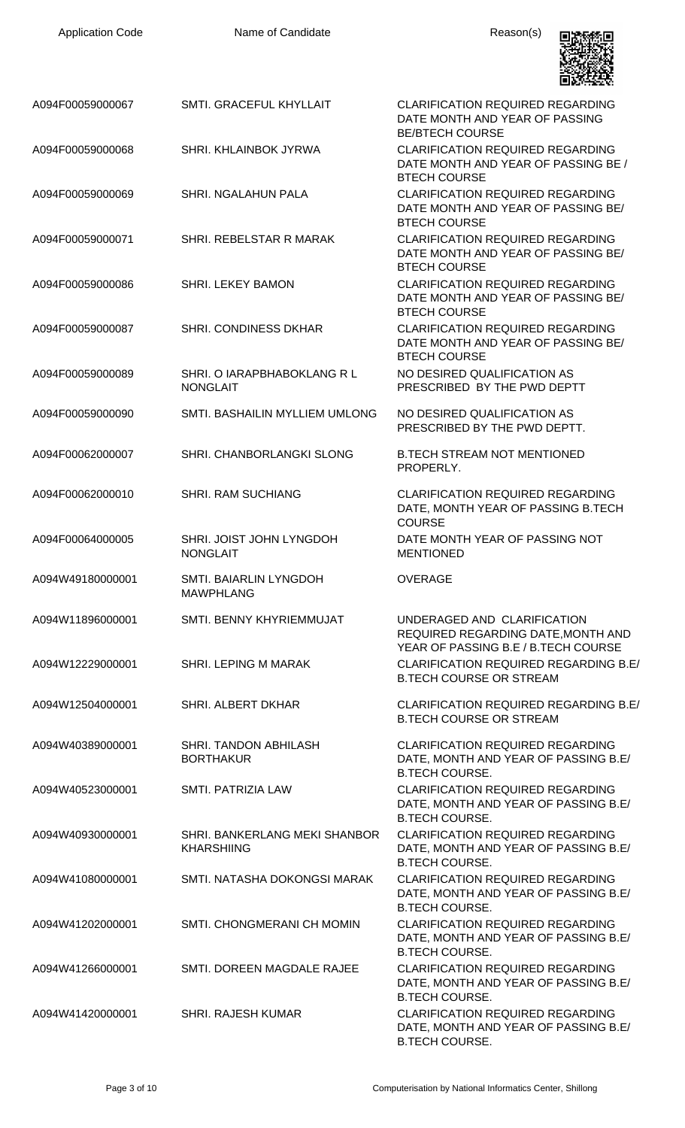| <b>Application Code</b>              | Name of Candidate                                                      | Reason(s)                                                                                                                 |
|--------------------------------------|------------------------------------------------------------------------|---------------------------------------------------------------------------------------------------------------------------|
| A094F00059000067                     | SMTI. GRACEFUL KHYLLAIT                                                | <b>CLARIFICATION REQUIRED REGARDING</b><br>DATE MONTH AND YEAR OF PASSING<br><b>BE/BTECH COURSE</b>                       |
| A094F00059000068                     | SHRI, KHLAINBOK JYRWA                                                  | <b>CLARIFICATION REQUIRED REGARDING</b><br>DATE MONTH AND YEAR OF PASSING BE /<br><b>BTECH COURSE</b>                     |
| A094F00059000069                     | SHRI. NGALAHUN PALA                                                    | <b>CLARIFICATION REQUIRED REGARDING</b><br>DATE MONTH AND YEAR OF PASSING BE/<br><b>BTECH COURSE</b>                      |
| A094F00059000071                     | SHRI. REBELSTAR R MARAK                                                | <b>CLARIFICATION REQUIRED REGARDING</b><br>DATE MONTH AND YEAR OF PASSING BE/<br><b>BTECH COURSE</b>                      |
| A094F00059000086                     | <b>SHRI. LEKEY BAMON</b>                                               | <b>CLARIFICATION REQUIRED REGARDING</b><br>DATE MONTH AND YEAR OF PASSING BE/<br><b>BTECH COURSE</b>                      |
| A094F00059000087                     | <b>SHRI, CONDINESS DKHAR</b>                                           | <b>CLARIFICATION REQUIRED REGARDING</b><br>DATE MONTH AND YEAR OF PASSING BE/<br><b>BTECH COURSE</b>                      |
| A094F00059000089                     | SHRI. O IARAPBHABOKLANG R L<br><b>NONGLAIT</b>                         | NO DESIRED QUALIFICATION AS<br>PRESCRIBED BY THE PWD DEPTT                                                                |
| A094F00059000090                     | SMTI. BASHAILIN MYLLIEM UMLONG                                         | NO DESIRED QUALIFICATION AS<br>PRESCRIBED BY THE PWD DEPTT.                                                               |
| A094F00062000007                     | SHRI. CHANBORLANGKI SLONG                                              | <b>B.TECH STREAM NOT MENTIONED</b><br>PROPERLY.                                                                           |
| A094F00062000010                     | <b>SHRI. RAM SUCHIANG</b>                                              | <b>CLARIFICATION REQUIRED REGARDING</b><br>DATE, MONTH YEAR OF PASSING B.TECH<br><b>COURSE</b>                            |
| A094F00064000005                     | SHRI. JOIST JOHN LYNGDOH<br><b>NONGLAIT</b>                            | DATE MONTH YEAR OF PASSING NOT<br><b>MENTIONED</b>                                                                        |
| A094W49180000001<br>A094W11896000001 | SMTI. BAIARLIN LYNGDOH<br><b>MAWPHLANG</b><br>SMTI. BENNY KHYRIEMMUJAT | <b>OVERAGE</b><br>UNDERAGED AND CLARIFICATION                                                                             |
|                                      | SHRI. LEPING M MARAK                                                   | REQUIRED REGARDING DATE, MONTH AND<br>YEAR OF PASSING B.E / B.TECH COURSE<br><b>CLARIFICATION REQUIRED REGARDING B.E/</b> |
| A094W12229000001<br>A094W12504000001 | SHRI. ALBERT DKHAR                                                     | <b>B.TECH COURSE OR STREAM</b><br><b>CLARIFICATION REQUIRED REGARDING B.E/</b>                                            |
| A094W40389000001                     | SHRI. TANDON ABHILASH                                                  | <b>B.TECH COURSE OR STREAM</b><br><b>CLARIFICATION REQUIRED REGARDING</b>                                                 |
| A094W40523000001                     | <b>BORTHAKUR</b><br>SMTI. PATRIZIA LAW                                 | DATE, MONTH AND YEAR OF PASSING B.E/<br><b>B.TECH COURSE.</b><br><b>CLARIFICATION REQUIRED REGARDING</b>                  |
|                                      |                                                                        | DATE, MONTH AND YEAR OF PASSING B.E/<br><b>B.TECH COURSE.</b>                                                             |
| A094W40930000001                     | SHRI. BANKERLANG MEKI SHANBOR<br><b>KHARSHIING</b>                     | <b>CLARIFICATION REQUIRED REGARDING</b><br>DATE, MONTH AND YEAR OF PASSING B.E/<br><b>B.TECH COURSE.</b>                  |
| A094W41080000001                     | SMTI. NATASHA DOKONGSI MARAK                                           | <b>CLARIFICATION REQUIRED REGARDING</b><br>DATE, MONTH AND YEAR OF PASSING B.E/<br><b>B.TECH COURSE.</b>                  |
| A094W41202000001                     | SMTI. CHONGMERANI CH MOMIN                                             | <b>CLARIFICATION REQUIRED REGARDING</b><br>DATE, MONTH AND YEAR OF PASSING B.E/<br><b>B.TECH COURSE.</b>                  |
| A094W41266000001                     | SMTI. DOREEN MAGDALE RAJEE                                             | <b>CLARIFICATION REQUIRED REGARDING</b><br>DATE, MONTH AND YEAR OF PASSING B.E/<br><b>B.TECH COURSE.</b>                  |
| A094W41420000001                     | <b>SHRI. RAJESH KUMAR</b>                                              | <b>CLARIFICATION REQUIRED REGARDING</b><br>DATE, MONTH AND YEAR OF PASSING B.E/<br><b>B.TECH COURSE.</b>                  |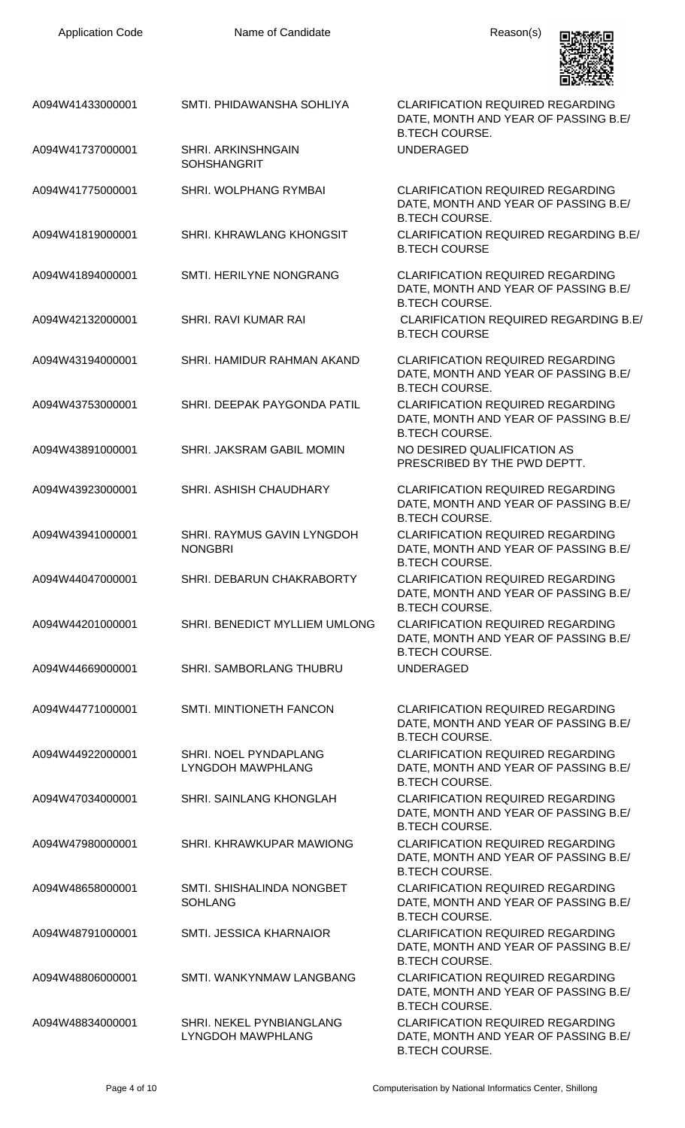

| A094W41433000001 | SMTI. PHIDAWANSHA SOHLIYA                       | <b>CLARIFICATION REQUIRED REGARDING</b><br>DATE, MONTH AND YEAR OF PASSING B.E/<br><b>B.TECH COURSE.</b> |
|------------------|-------------------------------------------------|----------------------------------------------------------------------------------------------------------|
| A094W41737000001 | <b>SHRI. ARKINSHNGAIN</b><br><b>SOHSHANGRIT</b> | <b>UNDERAGED</b>                                                                                         |
| A094W41775000001 | SHRI. WOLPHANG RYMBAI                           | <b>CLARIFICATION REQUIRED REGARDING</b><br>DATE, MONTH AND YEAR OF PASSING B.E/<br><b>B.TECH COURSE.</b> |
| A094W41819000001 | SHRI. KHRAWLANG KHONGSIT                        | <b>CLARIFICATION REQUIRED REGARDING B.E/</b><br><b>B.TECH COURSE</b>                                     |
| A094W41894000001 | SMTI. HERILYNE NONGRANG                         | <b>CLARIFICATION REQUIRED REGARDING</b><br>DATE, MONTH AND YEAR OF PASSING B.E/<br><b>B.TECH COURSE.</b> |
| A094W42132000001 | <b>SHRI. RAVI KUMAR RAI</b>                     | <b>CLARIFICATION REQUIRED REGARDING B.E.</b><br><b>B.TECH COURSE</b>                                     |
| A094W43194000001 | SHRI. HAMIDUR RAHMAN AKAND                      | <b>CLARIFICATION REQUIRED REGARDING</b><br>DATE, MONTH AND YEAR OF PASSING B.E/<br><b>B.TECH COURSE.</b> |
| A094W43753000001 | SHRI. DEEPAK PAYGONDA PATIL                     | <b>CLARIFICATION REQUIRED REGARDING</b><br>DATE, MONTH AND YEAR OF PASSING B.E/<br><b>B.TECH COURSE.</b> |
| A094W43891000001 | SHRI. JAKSRAM GABIL MOMIN                       | NO DESIRED QUALIFICATION AS<br>PRESCRIBED BY THE PWD DEPTT.                                              |
| A094W43923000001 | SHRI. ASHISH CHAUDHARY                          | <b>CLARIFICATION REQUIRED REGARDING</b><br>DATE, MONTH AND YEAR OF PASSING B.E/<br><b>B.TECH COURSE.</b> |
| A094W43941000001 | SHRI. RAYMUS GAVIN LYNGDOH<br><b>NONGBRI</b>    | <b>CLARIFICATION REQUIRED REGARDING</b><br>DATE, MONTH AND YEAR OF PASSING B.E/<br><b>B.TECH COURSE.</b> |
| A094W44047000001 | SHRI. DEBARUN CHAKRABORTY                       | <b>CLARIFICATION REQUIRED REGARDING</b><br>DATE, MONTH AND YEAR OF PASSING B.E/<br><b>B.TECH COURSE.</b> |
| A094W44201000001 | SHRI. BENEDICT MYLLIEM UMLONG                   | <b>CLARIFICATION REQUIRED REGARDING</b><br>DATE, MONTH AND YEAR OF PASSING B.E/<br><b>B.TECH COURSE.</b> |
| A094W44669000001 | <b>SHRI. SAMBORLANG THUBRU</b>                  | <b>UNDERAGED</b>                                                                                         |
| A094W44771000001 | <b>SMTI. MINTIONETH FANCON</b>                  | <b>CLARIFICATION REQUIRED REGARDING</b><br>DATE, MONTH AND YEAR OF PASSING B.E/<br><b>B.TECH COURSE.</b> |
| A094W44922000001 | SHRI. NOEL PYNDAPLANG<br>LYNGDOH MAWPHLANG      | <b>CLARIFICATION REQUIRED REGARDING</b><br>DATE, MONTH AND YEAR OF PASSING B.E/<br><b>B.TECH COURSE.</b> |
| A094W47034000001 | <b>SHRI. SAINLANG KHONGLAH</b>                  | <b>CLARIFICATION REQUIRED REGARDING</b><br>DATE, MONTH AND YEAR OF PASSING B.E/<br><b>B.TECH COURSE.</b> |
| A094W47980000001 | SHRI. KHRAWKUPAR MAWIONG                        | <b>CLARIFICATION REQUIRED REGARDING</b><br>DATE, MONTH AND YEAR OF PASSING B.E/<br><b>B.TECH COURSE.</b> |
| A094W48658000001 | SMTI. SHISHALINDA NONGBET<br><b>SOHLANG</b>     | <b>CLARIFICATION REQUIRED REGARDING</b><br>DATE, MONTH AND YEAR OF PASSING B.E/<br><b>B.TECH COURSE.</b> |
| A094W48791000001 | <b>SMTI. JESSICA KHARNAIOR</b>                  | <b>CLARIFICATION REQUIRED REGARDING</b><br>DATE, MONTH AND YEAR OF PASSING B.E/<br><b>B.TECH COURSE.</b> |
| A094W48806000001 | SMTI. WANKYNMAW LANGBANG                        | <b>CLARIFICATION REQUIRED REGARDING</b><br>DATE, MONTH AND YEAR OF PASSING B.E/<br><b>B.TECH COURSE.</b> |
| A094W48834000001 | SHRI. NEKEL PYNBIANGLANG<br>LYNGDOH MAWPHLANG   | <b>CLARIFICATION REQUIRED REGARDING</b><br>DATE, MONTH AND YEAR OF PASSING B.E/<br><b>B.TECH COURSE.</b> |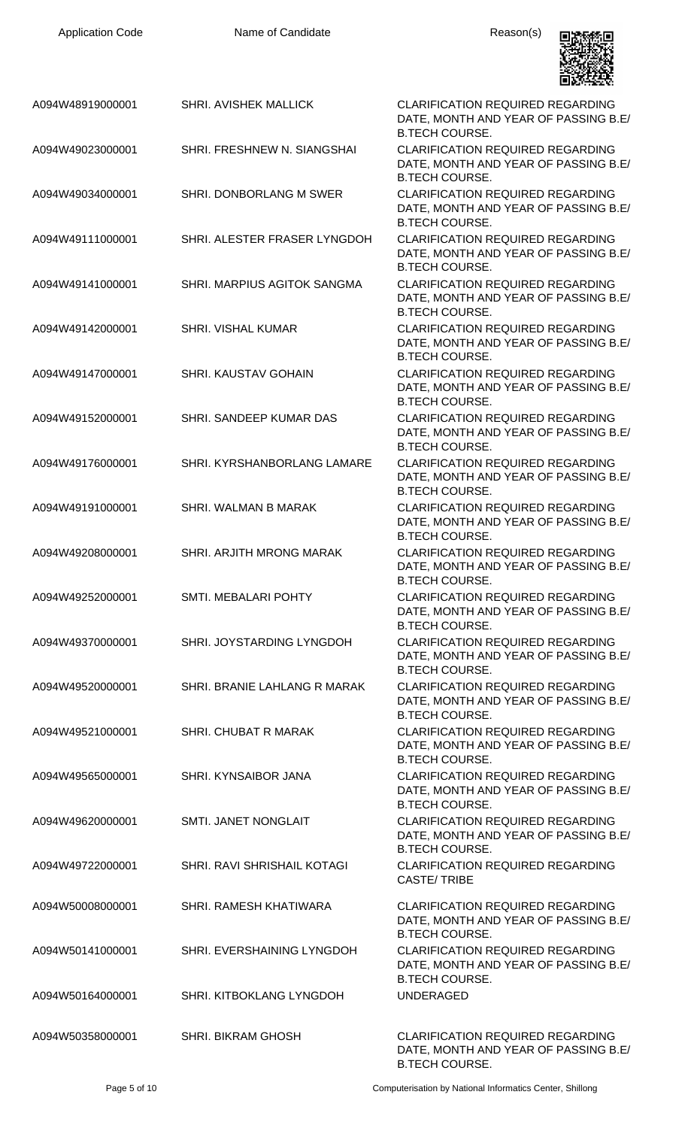| <b>Application Code</b>              | Name of Candidate                                      | Reason(s)                                                                                                                    |
|--------------------------------------|--------------------------------------------------------|------------------------------------------------------------------------------------------------------------------------------|
| A094W48919000001                     | <b>SHRI. AVISHEK MALLICK</b>                           | <b>CLARIFICATION REQUIRED REGARDING</b><br>DATE, MONTH AND YEAR OF PASSING B.E/<br><b>B.TECH COURSE.</b>                     |
| A094W49023000001                     | SHRI. FRESHNEW N. SIANGSHAI                            | <b>CLARIFICATION REQUIRED REGARDING</b><br>DATE, MONTH AND YEAR OF PASSING B.E/<br><b>B.TECH COURSE.</b>                     |
| A094W49034000001                     | SHRI. DONBORLANG M SWER                                | <b>CLARIFICATION REQUIRED REGARDING</b><br>DATE, MONTH AND YEAR OF PASSING B.E/<br><b>B.TECH COURSE.</b>                     |
| A094W49111000001                     | SHRI. ALESTER FRASER LYNGDOH                           | <b>CLARIFICATION REQUIRED REGARDING</b><br>DATE, MONTH AND YEAR OF PASSING B.E/<br><b>B.TECH COURSE.</b>                     |
| A094W49141000001                     | SHRI. MARPIUS AGITOK SANGMA                            | <b>CLARIFICATION REQUIRED REGARDING</b><br>DATE, MONTH AND YEAR OF PASSING B.E/<br><b>B.TECH COURSE.</b>                     |
| A094W49142000001                     | <b>SHRI. VISHAL KUMAR</b>                              | <b>CLARIFICATION REQUIRED REGARDING</b><br>DATE, MONTH AND YEAR OF PASSING B.E/<br><b>B.TECH COURSE.</b>                     |
| A094W49147000001                     | <b>SHRI. KAUSTAV GOHAIN</b>                            | <b>CLARIFICATION REQUIRED REGARDING</b><br>DATE, MONTH AND YEAR OF PASSING B.E/<br><b>B.TECH COURSE.</b>                     |
| A094W49152000001                     | SHRI. SANDEEP KUMAR DAS                                | <b>CLARIFICATION REQUIRED REGARDING</b><br>DATE, MONTH AND YEAR OF PASSING B.E/<br><b>B.TECH COURSE.</b>                     |
| A094W49176000001                     | SHRI. KYRSHANBORLANG LAMARE                            | <b>CLARIFICATION REQUIRED REGARDING</b><br>DATE, MONTH AND YEAR OF PASSING B.E/<br><b>B.TECH COURSE.</b>                     |
| A094W49191000001                     | SHRI. WALMAN B MARAK                                   | CLARIFICATION REQUIRED REGARDING<br>DATE, MONTH AND YEAR OF PASSING B.E/<br><b>B.TECH COURSE.</b>                            |
| A094W49208000001                     | SHRI. ARJITH MRONG MARAK                               | <b>CLARIFICATION REQUIRED REGARDING</b><br>DATE, MONTH AND YEAR OF PASSING B.E/<br><b>B.TECH COURSE.</b>                     |
| A094W49252000001                     | <b>SMTI. MEBALARI POHTY</b>                            | <b>CLARIFICATION REQUIRED REGARDING</b><br>DATE, MONTH AND YEAR OF PASSING B.E/<br><b>B.TECH COURSE.</b>                     |
| A094W49370000001                     | SHRI. JOYSTARDING LYNGDOH                              | <b>CLARIFICATION REQUIRED REGARDING</b><br>DATE, MONTH AND YEAR OF PASSING B.E/<br><b>B.TECH COURSE.</b>                     |
| A094W49520000001                     | SHRI. BRANIE LAHLANG R MARAK                           | <b>CLARIFICATION REQUIRED REGARDING</b><br>DATE, MONTH AND YEAR OF PASSING B.E/<br><b>B.TECH COURSE.</b>                     |
| A094W49521000001                     | <b>SHRI. CHUBAT R MARAK</b>                            | <b>CLARIFICATION REQUIRED REGARDING</b><br>DATE, MONTH AND YEAR OF PASSING B.E/<br><b>B.TECH COURSE.</b>                     |
| A094W49565000001                     | SHRI. KYNSAIBOR JANA                                   | <b>CLARIFICATION REQUIRED REGARDING</b><br>DATE, MONTH AND YEAR OF PASSING B.E/<br><b>B.TECH COURSE.</b>                     |
| A094W49620000001                     | SMTI. JANET NONGLAIT                                   | <b>CLARIFICATION REQUIRED REGARDING</b><br>DATE, MONTH AND YEAR OF PASSING B.E/<br><b>B.TECH COURSE.</b>                     |
| A094W49722000001<br>A094W50008000001 | SHRI. RAVI SHRISHAIL KOTAGI<br>SHRI. RAMESH KHATIWARA  | <b>CLARIFICATION REQUIRED REGARDING</b><br><b>CASTE/TRIBE</b><br><b>CLARIFICATION REQUIRED REGARDING</b>                     |
|                                      |                                                        | DATE, MONTH AND YEAR OF PASSING B.E/<br><b>B.TECH COURSE.</b>                                                                |
| A094W50141000001<br>A094W50164000001 | SHRI. EVERSHAINING LYNGDOH<br>SHRI. KITBOKLANG LYNGDOH | <b>CLARIFICATION REQUIRED REGARDING</b><br>DATE, MONTH AND YEAR OF PASSING B.E/<br><b>B.TECH COURSE.</b><br><b>UNDERAGED</b> |
|                                      |                                                        |                                                                                                                              |
| A094W50358000001                     | <b>SHRI. BIKRAM GHOSH</b>                              | <b>CLARIFICATION REQUIRED REGARDING</b><br>DATE, MONTH AND YEAR OF PASSING B.E/<br><b>B.TECH COURSE.</b>                     |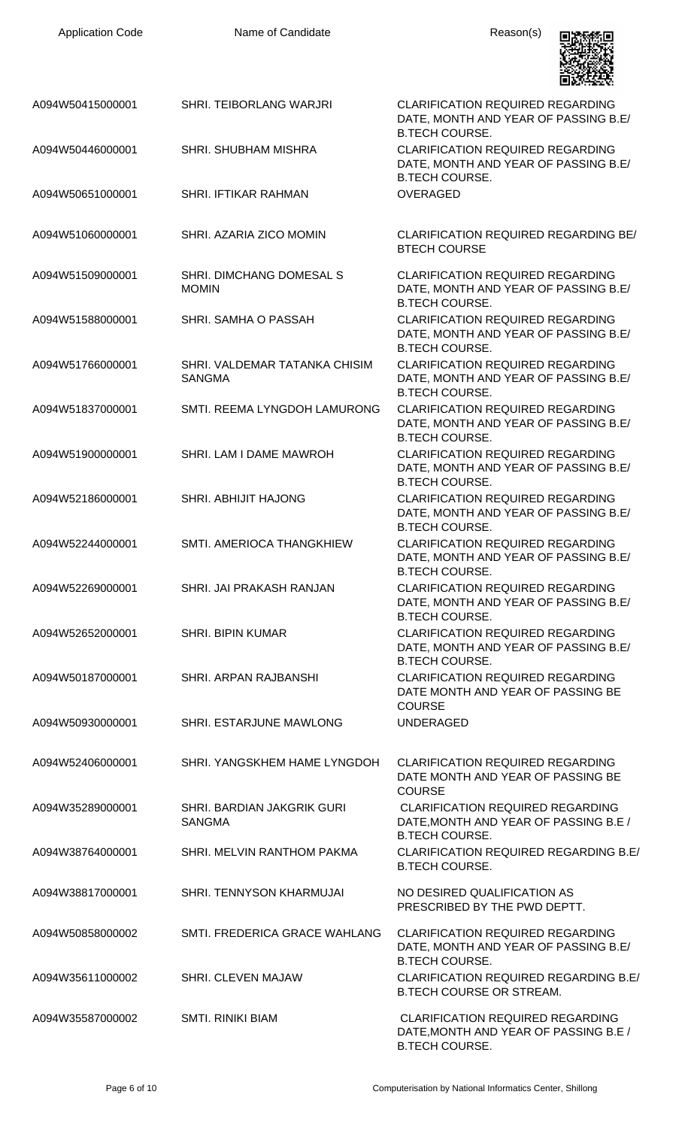| <b>Application Code</b> | Name of Candidate                                  | Reason(s)                                                                                                 |
|-------------------------|----------------------------------------------------|-----------------------------------------------------------------------------------------------------------|
| A094W50415000001        | SHRI. TEIBORLANG WARJRI                            | <b>CLARIFICATION REQUIRED REGARDING</b><br>DATE, MONTH AND YEAR OF PASSING B.E/<br><b>B.TECH COURSE.</b>  |
| A094W50446000001        | <b>SHRI. SHUBHAM MISHRA</b>                        | <b>CLARIFICATION REQUIRED REGARDING</b><br>DATE, MONTH AND YEAR OF PASSING B.E/<br><b>B.TECH COURSE.</b>  |
| A094W50651000001        | SHRI. IFTIKAR RAHMAN                               | <b>OVERAGED</b>                                                                                           |
| A094W51060000001        | SHRI. AZARIA ZICO MOMIN                            | <b>CLARIFICATION REQUIRED REGARDING BE/</b><br><b>BTECH COURSE</b>                                        |
| A094W51509000001        | SHRI. DIMCHANG DOMESAL S<br><b>MOMIN</b>           | <b>CLARIFICATION REQUIRED REGARDING</b><br>DATE, MONTH AND YEAR OF PASSING B.E/<br><b>B.TECH COURSE.</b>  |
| A094W51588000001        | SHRI. SAMHA O PASSAH                               | <b>CLARIFICATION REQUIRED REGARDING</b><br>DATE, MONTH AND YEAR OF PASSING B.E/<br><b>B.TECH COURSE.</b>  |
| A094W51766000001        | SHRI. VALDEMAR TATANKA CHISIM<br><b>SANGMA</b>     | <b>CLARIFICATION REQUIRED REGARDING</b><br>DATE, MONTH AND YEAR OF PASSING B.E/<br><b>B.TECH COURSE.</b>  |
| A094W51837000001        | SMTI. REEMA LYNGDOH LAMURONG                       | <b>CLARIFICATION REQUIRED REGARDING</b><br>DATE, MONTH AND YEAR OF PASSING B.E/<br><b>B.TECH COURSE.</b>  |
| A094W51900000001        | SHRI. LAM I DAME MAWROH                            | <b>CLARIFICATION REQUIRED REGARDING</b><br>DATE, MONTH AND YEAR OF PASSING B.E/<br><b>B.TECH COURSE.</b>  |
| A094W52186000001        | SHRI. ABHIJIT HAJONG                               | <b>CLARIFICATION REQUIRED REGARDING</b><br>DATE, MONTH AND YEAR OF PASSING B.E/<br><b>B.TECH COURSE.</b>  |
| A094W52244000001        | SMTI, AMERIOCA THANGKHIEW                          | <b>CLARIFICATION REQUIRED REGARDING</b><br>DATE, MONTH AND YEAR OF PASSING B.E/<br><b>B.TECH COURSE.</b>  |
| A094W52269000001        | SHRI. JAI PRAKASH RANJAN                           | <b>CLARIFICATION REQUIRED REGARDING</b><br>DATE, MONTH AND YEAR OF PASSING B.E/<br><b>B.TECH COURSE.</b>  |
| A094W52652000001        | <b>SHRI. BIPIN KUMAR</b>                           | <b>CLARIFICATION REQUIRED REGARDING</b><br>DATE, MONTH AND YEAR OF PASSING B.E/<br><b>B.TECH COURSE.</b>  |
| A094W50187000001        | SHRI. ARPAN RAJBANSHI                              | <b>CLARIFICATION REQUIRED REGARDING</b><br>DATE MONTH AND YEAR OF PASSING BE<br><b>COURSE</b>             |
| A094W50930000001        | SHRI. ESTARJUNE MAWLONG                            | <b>UNDERAGED</b>                                                                                          |
| A094W52406000001        | SHRI. YANGSKHEM HAME LYNGDOH                       | <b>CLARIFICATION REQUIRED REGARDING</b><br>DATE MONTH AND YEAR OF PASSING BE<br><b>COURSE</b>             |
| A094W35289000001        | <b>SHRI. BARDIAN JAKGRIK GURI</b><br><b>SANGMA</b> | <b>CLARIFICATION REQUIRED REGARDING</b><br>DATE, MONTH AND YEAR OF PASSING B.E /<br><b>B.TECH COURSE.</b> |
| A094W38764000001        | SHRI. MELVIN RANTHOM PAKMA                         | <b>CLARIFICATION REQUIRED REGARDING B.E/</b><br><b>B.TECH COURSE.</b>                                     |
| A094W38817000001        | SHRI. TENNYSON KHARMUJAI                           | NO DESIRED QUALIFICATION AS<br>PRESCRIBED BY THE PWD DEPTT.                                               |
| A094W50858000002        | SMTI. FREDERICA GRACE WAHLANG                      | <b>CLARIFICATION REQUIRED REGARDING</b><br>DATE, MONTH AND YEAR OF PASSING B.E/<br><b>B.TECH COURSE.</b>  |
| A094W35611000002        | SHRI. CLEVEN MAJAW                                 | <b>CLARIFICATION REQUIRED REGARDING B.E/</b><br><b>B.TECH COURSE OR STREAM.</b>                           |
| A094W35587000002        | <b>SMTI. RINIKI BIAM</b>                           | <b>CLARIFICATION REQUIRED REGARDING</b><br>DATE, MONTH AND YEAR OF PASSING B.E /<br><b>B.TECH COURSE.</b> |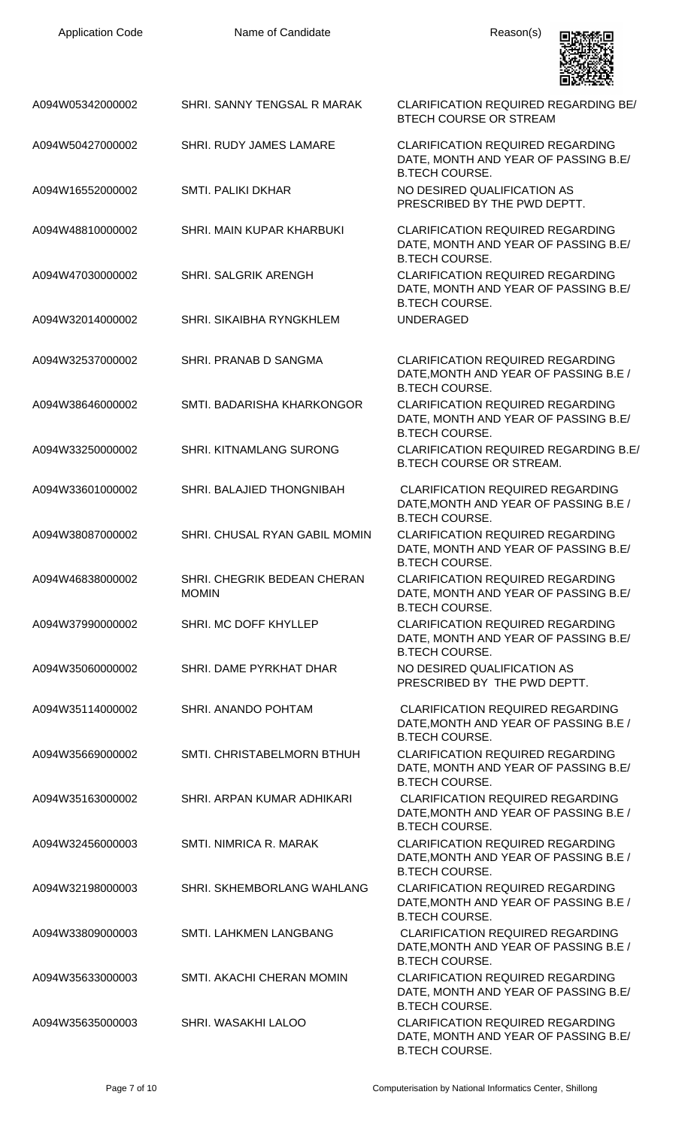| <b>Application Code</b> | Name of Candidate                           | Reason(s)                                                                                                 |
|-------------------------|---------------------------------------------|-----------------------------------------------------------------------------------------------------------|
| A094W05342000002        | SHRI. SANNY TENGSAL R MARAK                 | <b>CLARIFICATION REQUIRED REGARDING BE/</b><br><b>BTECH COURSE OR STREAM</b>                              |
| A094W50427000002        | SHRI. RUDY JAMES LAMARE                     | <b>CLARIFICATION REQUIRED REGARDING</b><br>DATE, MONTH AND YEAR OF PASSING B.E/<br><b>B.TECH COURSE.</b>  |
| A094W16552000002        | <b>SMTI. PALIKI DKHAR</b>                   | NO DESIRED QUALIFICATION AS<br>PRESCRIBED BY THE PWD DEPTT.                                               |
| A094W48810000002        | SHRI. MAIN KUPAR KHARBUKI                   | <b>CLARIFICATION REQUIRED REGARDING</b><br>DATE, MONTH AND YEAR OF PASSING B.E/<br><b>B.TECH COURSE.</b>  |
| A094W47030000002        | <b>SHRI. SALGRIK ARENGH</b>                 | <b>CLARIFICATION REQUIRED REGARDING</b><br>DATE, MONTH AND YEAR OF PASSING B.E/<br><b>B.TECH COURSE.</b>  |
| A094W32014000002        | SHRI, SIKAIBHA RYNGKHLEM                    | <b>UNDERAGED</b>                                                                                          |
| A094W32537000002        | SHRI. PRANAB D SANGMA                       | <b>CLARIFICATION REQUIRED REGARDING</b><br>DATE, MONTH AND YEAR OF PASSING B.E /<br><b>B.TECH COURSE.</b> |
| A094W38646000002        | SMTI. BADARISHA KHARKONGOR                  | <b>CLARIFICATION REQUIRED REGARDING</b><br>DATE, MONTH AND YEAR OF PASSING B.E/<br><b>B.TECH COURSE.</b>  |
| A094W33250000002        | SHRI. KITNAMLANG SURONG                     | <b>CLARIFICATION REQUIRED REGARDING B.E/</b><br><b>B.TECH COURSE OR STREAM.</b>                           |
| A094W33601000002        | SHRI. BALAJIED THONGNIBAH                   | <b>CLARIFICATION REQUIRED REGARDING</b><br>DATE, MONTH AND YEAR OF PASSING B.E /<br><b>B.TECH COURSE.</b> |
| A094W38087000002        | SHRI. CHUSAL RYAN GABIL MOMIN               | <b>CLARIFICATION REQUIRED REGARDING</b><br>DATE, MONTH AND YEAR OF PASSING B.E/<br><b>B.TECH COURSE.</b>  |
| A094W46838000002        | SHRI. CHEGRIK BEDEAN CHERAN<br><b>MOMIN</b> | <b>CLARIFICATION REQUIRED REGARDING</b><br>DATE, MONTH AND YEAR OF PASSING B.E/<br><b>B.TECH COURSE.</b>  |
| A094W37990000002        | SHRI. MC DOFF KHYLLEP                       | <b>CLARIFICATION REQUIRED REGARDING</b><br>DATE, MONTH AND YEAR OF PASSING B.E/<br><b>B.TECH COURSE.</b>  |
| A094W35060000002        | SHRI. DAME PYRKHAT DHAR                     | NO DESIRED QUALIFICATION AS<br>PRESCRIBED BY THE PWD DEPTT.                                               |
| A094W35114000002        | SHRI. ANANDO POHTAM                         | <b>CLARIFICATION REQUIRED REGARDING</b><br>DATE, MONTH AND YEAR OF PASSING B.E /<br><b>B.TECH COURSE.</b> |
| A094W35669000002        | SMTI. CHRISTABELMORN BTHUH                  | <b>CLARIFICATION REQUIRED REGARDING</b><br>DATE, MONTH AND YEAR OF PASSING B.E/<br><b>B.TECH COURSE.</b>  |
| A094W35163000002        | SHRI. ARPAN KUMAR ADHIKARI                  | <b>CLARIFICATION REQUIRED REGARDING</b><br>DATE, MONTH AND YEAR OF PASSING B.E /<br><b>B.TECH COURSE.</b> |
| A094W32456000003        | SMTI. NIMRICA R. MARAK                      | <b>CLARIFICATION REQUIRED REGARDING</b><br>DATE, MONTH AND YEAR OF PASSING B.E /<br><b>B.TECH COURSE.</b> |
| A094W32198000003        | SHRI. SKHEMBORLANG WAHLANG                  | <b>CLARIFICATION REQUIRED REGARDING</b><br>DATE, MONTH AND YEAR OF PASSING B.E /<br><b>B.TECH COURSE.</b> |
| A094W33809000003        | SMTI. LAHKMEN LANGBANG                      | <b>CLARIFICATION REQUIRED REGARDING</b><br>DATE, MONTH AND YEAR OF PASSING B.E /<br><b>B.TECH COURSE.</b> |
| A094W35633000003        | SMTI. AKACHI CHERAN MOMIN                   | <b>CLARIFICATION REQUIRED REGARDING</b><br>DATE, MONTH AND YEAR OF PASSING B.E/<br><b>B.TECH COURSE.</b>  |
| A094W35635000003        | SHRI. WASAKHI LALOO                         | CLARIFICATION REQUIRED REGARDING<br>DATE, MONTH AND YEAR OF PASSING B.E/<br><b>B.TECH COURSE.</b>         |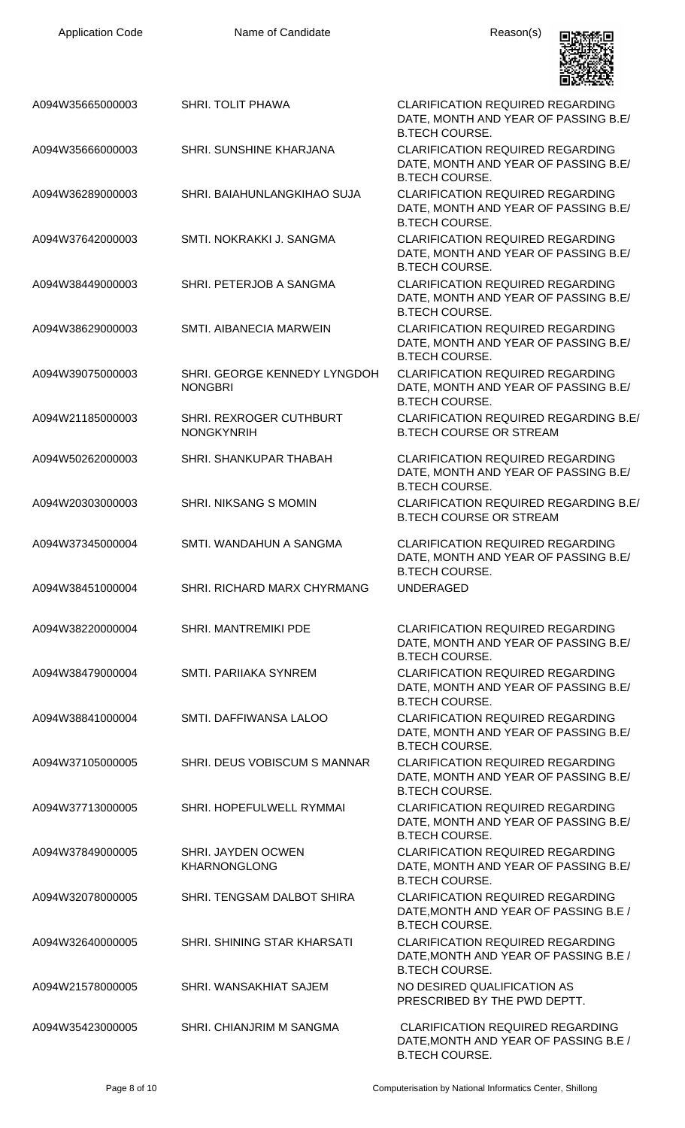| <b>Application Code</b> | Name of Candidate                                | Reason(s)                                                                                                                         |
|-------------------------|--------------------------------------------------|-----------------------------------------------------------------------------------------------------------------------------------|
| A094W35665000003        | <b>SHRI. TOLIT PHAWA</b>                         | <b>CLARIFICATION REQUIRED REGARDING</b><br>DATE, MONTH AND YEAR OF PASSING B.E/                                                   |
| A094W35666000003        | SHRI. SUNSHINE KHARJANA                          | <b>B.TECH COURSE.</b><br><b>CLARIFICATION REQUIRED REGARDING</b><br>DATE, MONTH AND YEAR OF PASSING B.E/<br><b>B.TECH COURSE.</b> |
| A094W36289000003        | SHRI. BAIAHUNLANGKIHAO SUJA                      | <b>CLARIFICATION REQUIRED REGARDING</b><br>DATE, MONTH AND YEAR OF PASSING B.E/<br><b>B.TECH COURSE.</b>                          |
| A094W37642000003        | SMTI. NOKRAKKI J. SANGMA                         | <b>CLARIFICATION REQUIRED REGARDING</b><br>DATE, MONTH AND YEAR OF PASSING B.E/<br><b>B.TECH COURSE.</b>                          |
| A094W38449000003        | SHRI. PETERJOB A SANGMA                          | <b>CLARIFICATION REQUIRED REGARDING</b><br>DATE, MONTH AND YEAR OF PASSING B.E/<br><b>B.TECH COURSE.</b>                          |
| A094W38629000003        | SMTI. AIBANECIA MARWEIN                          | <b>CLARIFICATION REQUIRED REGARDING</b><br>DATE, MONTH AND YEAR OF PASSING B.E/<br><b>B.TECH COURSE.</b>                          |
| A094W39075000003        | SHRI. GEORGE KENNEDY LYNGDOH<br><b>NONGBRI</b>   | <b>CLARIFICATION REQUIRED REGARDING</b><br>DATE, MONTH AND YEAR OF PASSING B.E/<br><b>B.TECH COURSE.</b>                          |
| A094W21185000003        | SHRI. REXROGER CUTHBURT<br><b>NONGKYNRIH</b>     | <b>CLARIFICATION REQUIRED REGARDING B.E/</b><br><b>B.TECH COURSE OR STREAM</b>                                                    |
| A094W50262000003        | SHRI. SHANKUPAR THABAH                           | <b>CLARIFICATION REQUIRED REGARDING</b><br>DATE, MONTH AND YEAR OF PASSING B.E/<br><b>B.TECH COURSE.</b>                          |
| A094W20303000003        | <b>SHRI. NIKSANG S MOMIN</b>                     | <b>CLARIFICATION REQUIRED REGARDING B.E/</b><br><b>B.TECH COURSE OR STREAM</b>                                                    |
| A094W37345000004        | SMTI. WANDAHUN A SANGMA                          | <b>CLARIFICATION REQUIRED REGARDING</b><br>DATE, MONTH AND YEAR OF PASSING B.E/<br><b>B.TECH COURSE.</b>                          |
| A094W38451000004        | SHRI. RICHARD MARX CHYRMANG                      | <b>UNDERAGED</b>                                                                                                                  |
| A094W38220000004        | <b>SHRI. MANTREMIKI PDE</b>                      | <b>CLARIFICATION REQUIRED REGARDING</b><br>DATE, MONTH AND YEAR OF PASSING B.E/<br><b>B.TECH COURSE.</b>                          |
| A094W38479000004        | SMTI, PARIIAKA SYNREM                            | <b>CLARIFICATION REQUIRED REGARDING</b><br>DATE, MONTH AND YEAR OF PASSING B.E/<br><b>B.TECH COURSE.</b>                          |
| A094W38841000004        | SMTI. DAFFIWANSA LALOO                           | <b>CLARIFICATION REQUIRED REGARDING</b><br>DATE, MONTH AND YEAR OF PASSING B.E/<br><b>B.TECH COURSE.</b>                          |
| A094W37105000005        | SHRI. DEUS VOBISCUM S MANNAR                     | <b>CLARIFICATION REQUIRED REGARDING</b><br>DATE, MONTH AND YEAR OF PASSING B.E/<br><b>B.TECH COURSE.</b>                          |
| A094W37713000005        | SHRI. HOPEFULWELL RYMMAI                         | <b>CLARIFICATION REQUIRED REGARDING</b><br>DATE, MONTH AND YEAR OF PASSING B.E/<br><b>B.TECH COURSE.</b>                          |
| A094W37849000005        | <b>SHRI. JAYDEN OCWEN</b><br><b>KHARNONGLONG</b> | <b>CLARIFICATION REQUIRED REGARDING</b><br>DATE, MONTH AND YEAR OF PASSING B.E/<br><b>B.TECH COURSE.</b>                          |
| A094W32078000005        | SHRI. TENGSAM DALBOT SHIRA                       | <b>CLARIFICATION REQUIRED REGARDING</b><br>DATE, MONTH AND YEAR OF PASSING B.E /<br><b>B.TECH COURSE.</b>                         |
| A094W32640000005        | SHRI. SHINING STAR KHARSATI                      | <b>CLARIFICATION REQUIRED REGARDING</b><br>DATE, MONTH AND YEAR OF PASSING B.E /<br><b>B.TECH COURSE.</b>                         |
| A094W21578000005        | SHRI. WANSAKHIAT SAJEM                           | NO DESIRED QUALIFICATION AS<br>PRESCRIBED BY THE PWD DEPTT.                                                                       |
| A094W35423000005        | SHRI. CHIANJRIM M SANGMA                         | CLARIFICATION REQUIRED REGARDING<br>DATE, MONTH AND YEAR OF PASSING B.E /<br><b>B.TECH COURSE.</b>                                |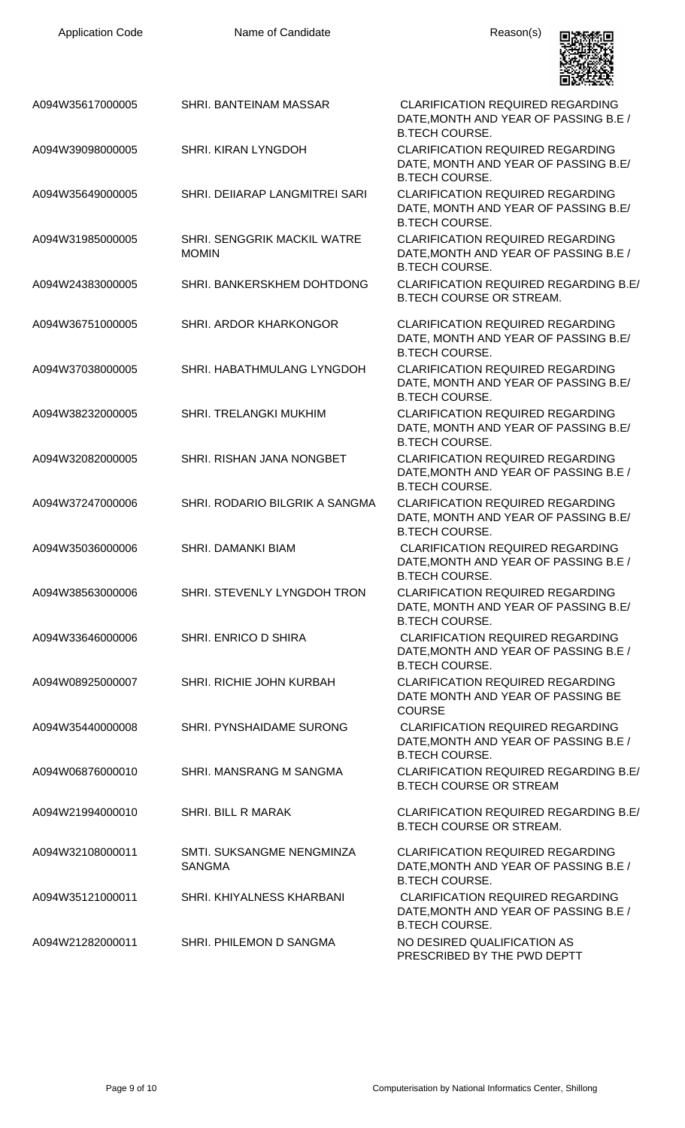| <b>Application Code</b> | Name of Candidate                                  | Reason(s)                                                                                                 |
|-------------------------|----------------------------------------------------|-----------------------------------------------------------------------------------------------------------|
| A094W35617000005        | SHRI. BANTEINAM MASSAR                             | <b>CLARIFICATION REQUIRED REGARDING</b><br>DATE, MONTH AND YEAR OF PASSING B.E /<br><b>B.TECH COURSE.</b> |
| A094W39098000005        | <b>SHRI. KIRAN LYNGDOH</b>                         | <b>CLARIFICATION REQUIRED REGARDING</b><br>DATE, MONTH AND YEAR OF PASSING B.E/<br><b>B.TECH COURSE.</b>  |
| A094W35649000005        | SHRI. DEIIARAP LANGMITREI SARI                     | <b>CLARIFICATION REQUIRED REGARDING</b><br>DATE, MONTH AND YEAR OF PASSING B.E/<br><b>B.TECH COURSE.</b>  |
| A094W31985000005        | <b>SHRI. SENGGRIK MACKIL WATRE</b><br><b>MOMIN</b> | <b>CLARIFICATION REQUIRED REGARDING</b><br>DATE, MONTH AND YEAR OF PASSING B.E /<br><b>B.TECH COURSE.</b> |
| A094W24383000005        | SHRI. BANKERSKHEM DOHTDONG                         | <b>CLARIFICATION REQUIRED REGARDING B.E/</b><br><b>B.TECH COURSE OR STREAM.</b>                           |
| A094W36751000005        | SHRI. ARDOR KHARKONGOR                             | <b>CLARIFICATION REQUIRED REGARDING</b><br>DATE, MONTH AND YEAR OF PASSING B.E/<br><b>B.TECH COURSE.</b>  |
| A094W37038000005        | SHRI. HABATHMULANG LYNGDOH                         | <b>CLARIFICATION REQUIRED REGARDING</b><br>DATE, MONTH AND YEAR OF PASSING B.E/<br><b>B.TECH COURSE.</b>  |
| A094W38232000005        | SHRI. TRELANGKI MUKHIM                             | <b>CLARIFICATION REQUIRED REGARDING</b><br>DATE, MONTH AND YEAR OF PASSING B.E/<br><b>B.TECH COURSE.</b>  |
| A094W32082000005        | SHRI. RISHAN JANA NONGBET                          | <b>CLARIFICATION REQUIRED REGARDING</b><br>DATE, MONTH AND YEAR OF PASSING B.E /<br><b>B.TECH COURSE.</b> |
| A094W37247000006        | SHRI. RODARIO BILGRIK A SANGMA                     | <b>CLARIFICATION REQUIRED REGARDING</b><br>DATE, MONTH AND YEAR OF PASSING B.E/<br><b>B.TECH COURSE.</b>  |
| A094W35036000006        | <b>SHRI, DAMANKI BIAM</b>                          | <b>CLARIFICATION REQUIRED REGARDING</b><br>DATE, MONTH AND YEAR OF PASSING B.E /<br><b>B.TECH COURSE.</b> |
| A094W38563000006        | SHRI. STEVENLY LYNGDOH TRON                        | <b>CLARIFICATION REQUIRED REGARDING</b><br>DATE, MONTH AND YEAR OF PASSING B.E/<br><b>B.TECH COURSE.</b>  |
| A094W33646000006        | SHRI. ENRICO D SHIRA                               | <b>CLARIFICATION REQUIRED REGARDING</b><br>DATE, MONTH AND YEAR OF PASSING B.E /<br><b>B.TECH COURSE.</b> |
| A094W08925000007        | SHRI. RICHIE JOHN KURBAH                           | <b>CLARIFICATION REQUIRED REGARDING</b><br>DATE MONTH AND YEAR OF PASSING BE<br><b>COURSE</b>             |
| A094W35440000008        | <b>SHRI. PYNSHAIDAME SURONG</b>                    | <b>CLARIFICATION REQUIRED REGARDING</b><br>DATE, MONTH AND YEAR OF PASSING B.E /<br><b>B.TECH COURSE.</b> |
| A094W06876000010        | SHRI. MANSRANG M SANGMA                            | <b>CLARIFICATION REQUIRED REGARDING B.E/</b><br><b>B.TECH COURSE OR STREAM</b>                            |
| A094W21994000010        | <b>SHRI. BILL R MARAK</b>                          | <b>CLARIFICATION REQUIRED REGARDING B.E/</b><br><b>B.TECH COURSE OR STREAM.</b>                           |
| A094W32108000011        | SMTI. SUKSANGME NENGMINZA<br><b>SANGMA</b>         | <b>CLARIFICATION REQUIRED REGARDING</b><br>DATE, MONTH AND YEAR OF PASSING B.E /<br><b>B.TECH COURSE.</b> |
| A094W35121000011        | SHRI, KHIYALNESS KHARBANI                          | <b>CLARIFICATION REQUIRED REGARDING</b><br>DATE, MONTH AND YEAR OF PASSING B.E /<br><b>B.TECH COURSE.</b> |
| A094W21282000011        | SHRI. PHILEMON D SANGMA                            | NO DESIRED QUALIFICATION AS<br>PRESCRIBED BY THE PWD DEPTT                                                |